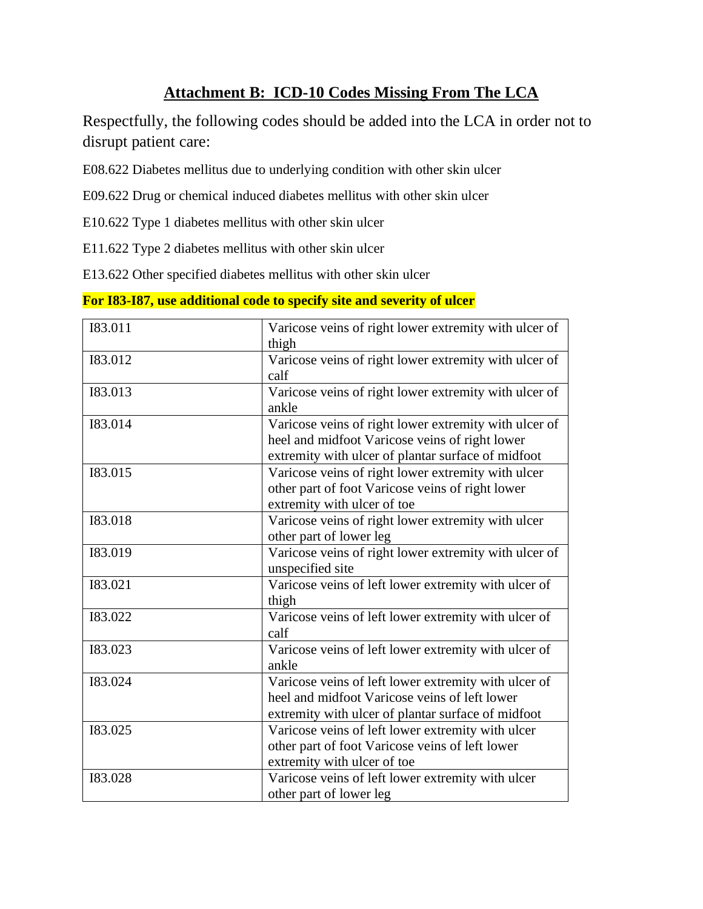## **Attachment B: ICD-10 Codes Missing From The LCA**

Respectfully, the following codes should be added into the LCA in order not to disrupt patient care:

E08.622 Diabetes mellitus due to underlying condition with other skin ulcer

E09.622 Drug or chemical induced diabetes mellitus with other skin ulcer

E10.622 Type 1 diabetes mellitus with other skin ulcer

E11.622 Type 2 diabetes mellitus with other skin ulcer

E13.622 Other specified diabetes mellitus with other skin ulcer

| Varicose veins of right lower extremity with ulcer of |
|-------------------------------------------------------|
| thigh                                                 |
| Varicose veins of right lower extremity with ulcer of |
| calf                                                  |
| Varicose veins of right lower extremity with ulcer of |
| ankle                                                 |
| Varicose veins of right lower extremity with ulcer of |
| heel and midfoot Varicose veins of right lower        |
| extremity with ulcer of plantar surface of midfoot    |
| Varicose veins of right lower extremity with ulcer    |
| other part of foot Varicose veins of right lower      |
| extremity with ulcer of toe                           |
| Varicose veins of right lower extremity with ulcer    |
| other part of lower leg                               |
| Varicose veins of right lower extremity with ulcer of |
| unspecified site                                      |
| Varicose veins of left lower extremity with ulcer of  |
| thigh                                                 |
| Varicose veins of left lower extremity with ulcer of  |
| calf                                                  |
| Varicose veins of left lower extremity with ulcer of  |
| ankle                                                 |
| Varicose veins of left lower extremity with ulcer of  |
| heel and midfoot Varicose veins of left lower         |
| extremity with ulcer of plantar surface of midfoot    |
| Varicose veins of left lower extremity with ulcer     |
| other part of foot Varicose veins of left lower       |
| extremity with ulcer of toe                           |
| Varicose veins of left lower extremity with ulcer     |
| other part of lower leg                               |
|                                                       |

**For I83-I87, use additional code to specify site and severity of ulcer**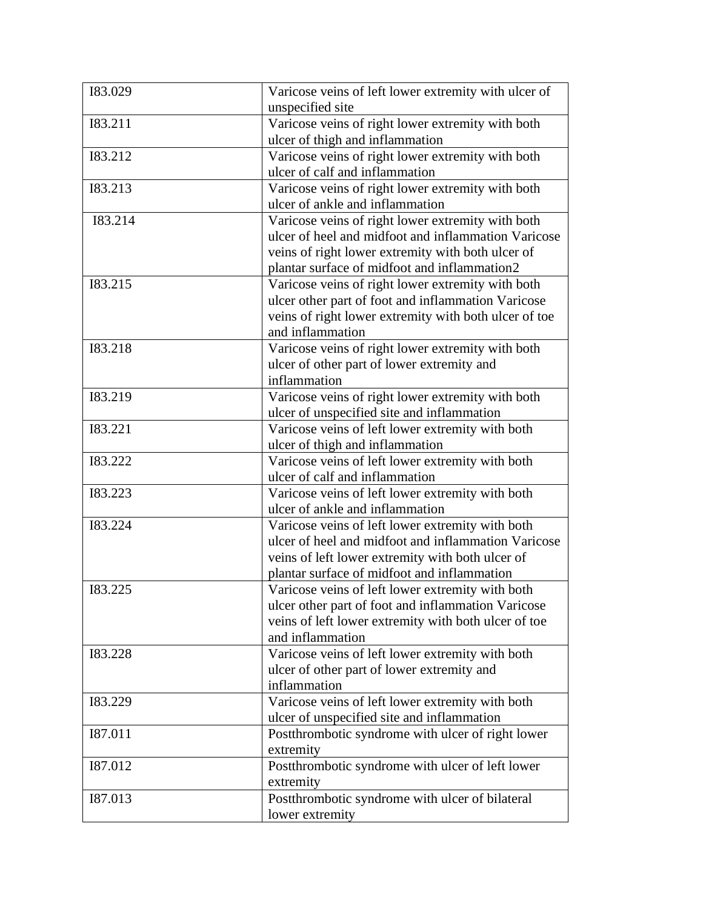| 183.029 | Varicose veins of left lower extremity with ulcer of  |
|---------|-------------------------------------------------------|
|         | unspecified site                                      |
| 183.211 | Varicose veins of right lower extremity with both     |
|         | ulcer of thigh and inflammation                       |
| 183.212 | Varicose veins of right lower extremity with both     |
|         | ulcer of calf and inflammation                        |
| 183.213 | Varicose veins of right lower extremity with both     |
|         | ulcer of ankle and inflammation                       |
| 183.214 | Varicose veins of right lower extremity with both     |
|         | ulcer of heel and midfoot and inflammation Varicose   |
|         | veins of right lower extremity with both ulcer of     |
|         | plantar surface of midfoot and inflammation2          |
| I83.215 | Varicose veins of right lower extremity with both     |
|         | ulcer other part of foot and inflammation Varicose    |
|         | veins of right lower extremity with both ulcer of toe |
|         | and inflammation                                      |
| 183.218 | Varicose veins of right lower extremity with both     |
|         | ulcer of other part of lower extremity and            |
|         | inflammation                                          |
| 183.219 | Varicose veins of right lower extremity with both     |
|         | ulcer of unspecified site and inflammation            |
| 183.221 | Varicose veins of left lower extremity with both      |
|         | ulcer of thigh and inflammation                       |
| 183.222 | Varicose veins of left lower extremity with both      |
|         | ulcer of calf and inflammation                        |
| 183.223 | Varicose veins of left lower extremity with both      |
|         | ulcer of ankle and inflammation                       |
| 183.224 | Varicose veins of left lower extremity with both      |
|         | ulcer of heel and midfoot and inflammation Varicose   |
|         | veins of left lower extremity with both ulcer of      |
|         | plantar surface of midfoot and inflammation           |
| 183.225 | Varicose veins of left lower extremity with both      |
|         | ulcer other part of foot and inflammation Varicose    |
|         | veins of left lower extremity with both ulcer of toe  |
|         | and inflammation                                      |
| 183.228 | Varicose veins of left lower extremity with both      |
|         | ulcer of other part of lower extremity and            |
|         | inflammation                                          |
| 183.229 | Varicose veins of left lower extremity with both      |
|         |                                                       |
|         | ulcer of unspecified site and inflammation            |
| I87.011 | Postthrombotic syndrome with ulcer of right lower     |
|         | extremity                                             |
| 187.012 | Postthrombotic syndrome with ulcer of left lower      |
|         | extremity                                             |
| I87.013 | Postthrombotic syndrome with ulcer of bilateral       |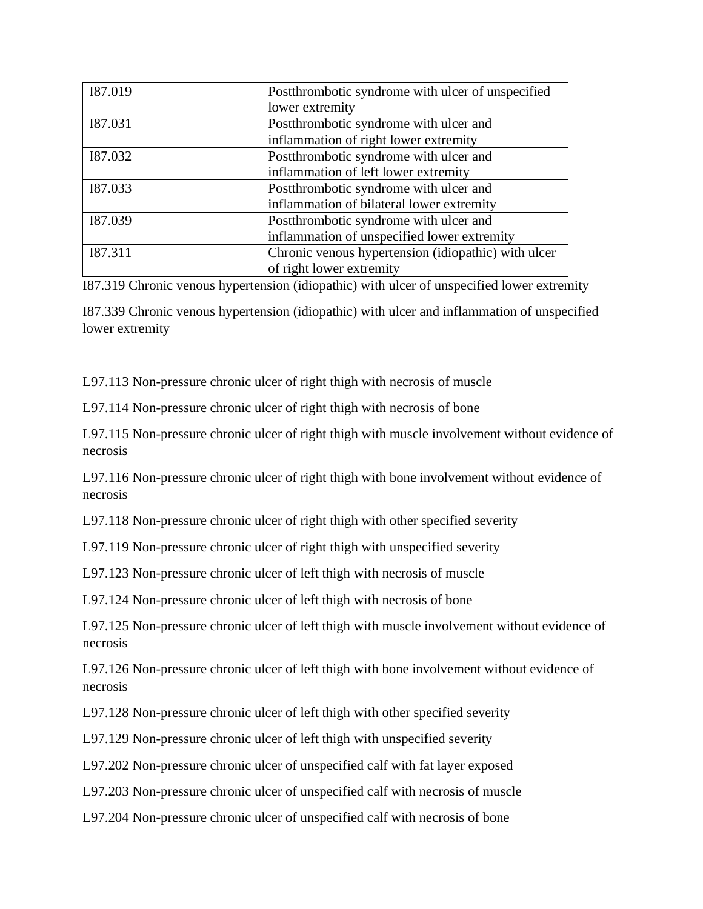| I87.019 | Postthrombotic syndrome with ulcer of unspecified   |
|---------|-----------------------------------------------------|
|         | lower extremity                                     |
| I87.031 | Postthrombotic syndrome with ulcer and              |
|         | inflammation of right lower extremity               |
| 187.032 | Postthrombotic syndrome with ulcer and              |
|         | inflammation of left lower extremity                |
| 187.033 | Postthrombotic syndrome with ulcer and              |
|         | inflammation of bilateral lower extremity           |
| 187.039 | Postthrombotic syndrome with ulcer and              |
|         | inflammation of unspecified lower extremity         |
| I87.311 | Chronic venous hypertension (idiopathic) with ulcer |
|         | of right lower extremity                            |

I87.319 Chronic venous hypertension (idiopathic) with ulcer of unspecified lower extremity

I87.339 Chronic venous hypertension (idiopathic) with ulcer and inflammation of unspecified lower extremity

L97.113 Non-pressure chronic ulcer of right thigh with necrosis of muscle

L97.114 Non-pressure chronic ulcer of right thigh with necrosis of bone

L97.115 Non-pressure chronic ulcer of right thigh with muscle involvement without evidence of necrosis

L97.116 Non-pressure chronic ulcer of right thigh with bone involvement without evidence of necrosis

L97.118 Non-pressure chronic ulcer of right thigh with other specified severity

L97.119 Non-pressure chronic ulcer of right thigh with unspecified severity

L97.123 Non-pressure chronic ulcer of left thigh with necrosis of muscle

L97.124 Non-pressure chronic ulcer of left thigh with necrosis of bone

L97.125 Non-pressure chronic ulcer of left thigh with muscle involvement without evidence of necrosis

L97.126 Non-pressure chronic ulcer of left thigh with bone involvement without evidence of necrosis

L97.128 Non-pressure chronic ulcer of left thigh with other specified severity

L97.129 Non-pressure chronic ulcer of left thigh with unspecified severity

L97.202 Non-pressure chronic ulcer of unspecified calf with fat layer exposed

L97.203 Non-pressure chronic ulcer of unspecified calf with necrosis of muscle

L97.204 Non-pressure chronic ulcer of unspecified calf with necrosis of bone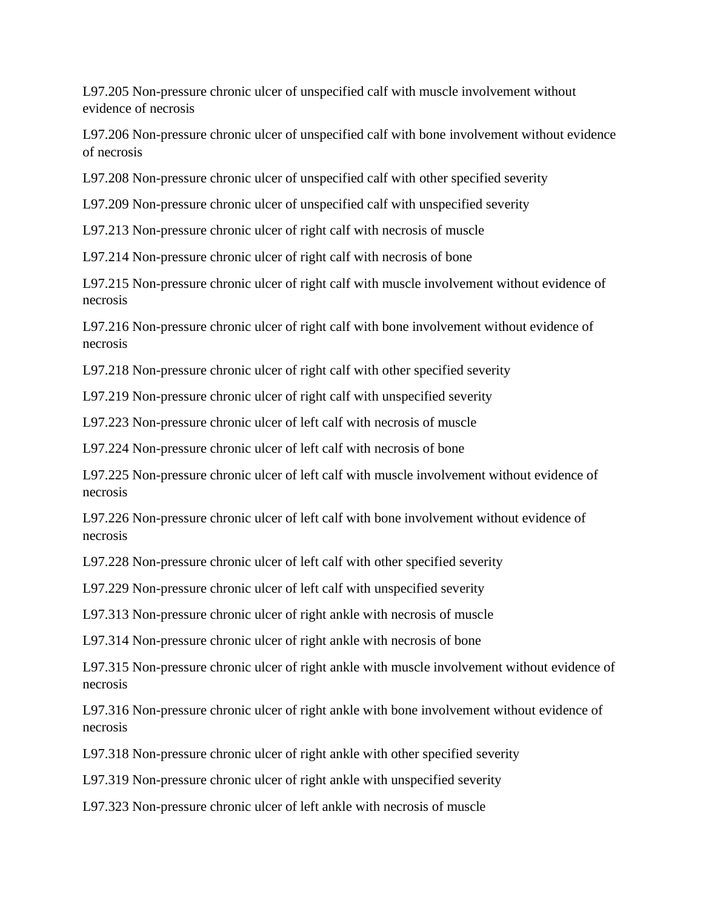L97.205 Non-pressure chronic ulcer of unspecified calf with muscle involvement without evidence of necrosis

L97.206 Non-pressure chronic ulcer of unspecified calf with bone involvement without evidence of necrosis

L97.208 Non-pressure chronic ulcer of unspecified calf with other specified severity

L97.209 Non-pressure chronic ulcer of unspecified calf with unspecified severity

L97.213 Non-pressure chronic ulcer of right calf with necrosis of muscle

L97.214 Non-pressure chronic ulcer of right calf with necrosis of bone

L97.215 Non-pressure chronic ulcer of right calf with muscle involvement without evidence of necrosis

L97.216 Non-pressure chronic ulcer of right calf with bone involvement without evidence of necrosis

L97.218 Non-pressure chronic ulcer of right calf with other specified severity

L97.219 Non-pressure chronic ulcer of right calf with unspecified severity

L97.223 Non-pressure chronic ulcer of left calf with necrosis of muscle

L97.224 Non-pressure chronic ulcer of left calf with necrosis of bone

L97.225 Non-pressure chronic ulcer of left calf with muscle involvement without evidence of necrosis

L97.226 Non-pressure chronic ulcer of left calf with bone involvement without evidence of necrosis

L97.228 Non-pressure chronic ulcer of left calf with other specified severity

L97.229 Non-pressure chronic ulcer of left calf with unspecified severity

L97.313 Non-pressure chronic ulcer of right ankle with necrosis of muscle

L97.314 Non-pressure chronic ulcer of right ankle with necrosis of bone

L97.315 Non-pressure chronic ulcer of right ankle with muscle involvement without evidence of necrosis

L97.316 Non-pressure chronic ulcer of right ankle with bone involvement without evidence of necrosis

L97.318 Non-pressure chronic ulcer of right ankle with other specified severity

L97.319 Non-pressure chronic ulcer of right ankle with unspecified severity

L97.323 Non-pressure chronic ulcer of left ankle with necrosis of muscle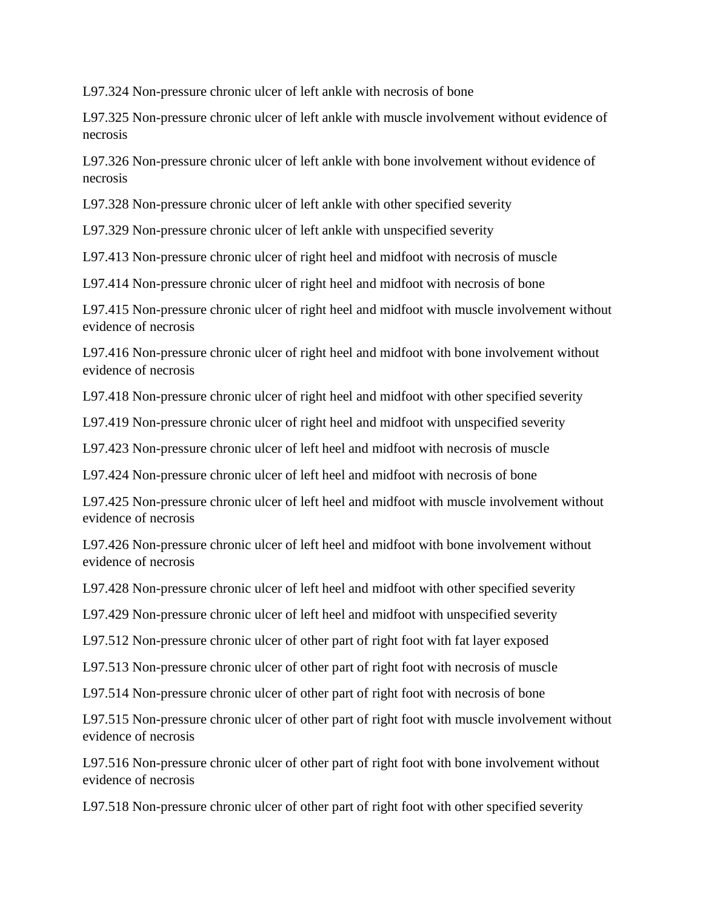L97.324 Non-pressure chronic ulcer of left ankle with necrosis of bone

L97.325 Non-pressure chronic ulcer of left ankle with muscle involvement without evidence of necrosis

L97.326 Non-pressure chronic ulcer of left ankle with bone involvement without evidence of necrosis

L97.328 Non-pressure chronic ulcer of left ankle with other specified severity

L97.329 Non-pressure chronic ulcer of left ankle with unspecified severity

L97.413 Non-pressure chronic ulcer of right heel and midfoot with necrosis of muscle

L97.414 Non-pressure chronic ulcer of right heel and midfoot with necrosis of bone

L97.415 Non-pressure chronic ulcer of right heel and midfoot with muscle involvement without evidence of necrosis

L97.416 Non-pressure chronic ulcer of right heel and midfoot with bone involvement without evidence of necrosis

L97.418 Non-pressure chronic ulcer of right heel and midfoot with other specified severity

L97.419 Non-pressure chronic ulcer of right heel and midfoot with unspecified severity

L97.423 Non-pressure chronic ulcer of left heel and midfoot with necrosis of muscle

L97.424 Non-pressure chronic ulcer of left heel and midfoot with necrosis of bone

L97.425 Non-pressure chronic ulcer of left heel and midfoot with muscle involvement without evidence of necrosis

L97.426 Non-pressure chronic ulcer of left heel and midfoot with bone involvement without evidence of necrosis

L97.428 Non-pressure chronic ulcer of left heel and midfoot with other specified severity

L97.429 Non-pressure chronic ulcer of left heel and midfoot with unspecified severity

L97.512 Non-pressure chronic ulcer of other part of right foot with fat layer exposed

L97.513 Non-pressure chronic ulcer of other part of right foot with necrosis of muscle

L97.514 Non-pressure chronic ulcer of other part of right foot with necrosis of bone

L97.515 Non-pressure chronic ulcer of other part of right foot with muscle involvement without evidence of necrosis

L97.516 Non-pressure chronic ulcer of other part of right foot with bone involvement without evidence of necrosis

L97.518 Non-pressure chronic ulcer of other part of right foot with other specified severity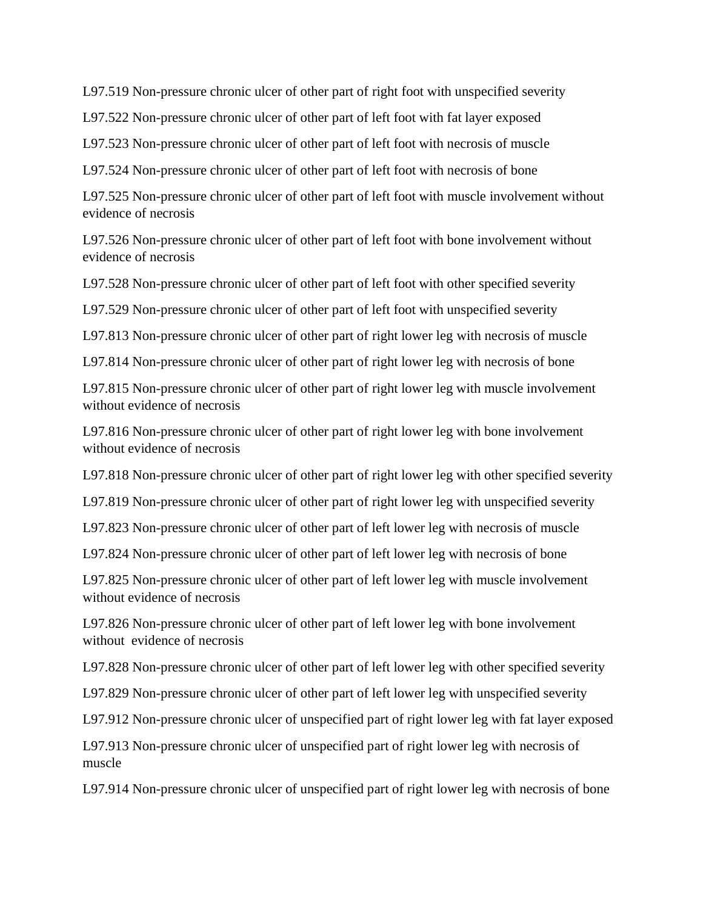L97.519 Non-pressure chronic ulcer of other part of right foot with unspecified severity

L97.522 Non-pressure chronic ulcer of other part of left foot with fat layer exposed

L97.523 Non-pressure chronic ulcer of other part of left foot with necrosis of muscle

L97.524 Non-pressure chronic ulcer of other part of left foot with necrosis of bone

L97.525 Non-pressure chronic ulcer of other part of left foot with muscle involvement without evidence of necrosis

L97.526 Non-pressure chronic ulcer of other part of left foot with bone involvement without evidence of necrosis

L97.528 Non-pressure chronic ulcer of other part of left foot with other specified severity

L97.529 Non-pressure chronic ulcer of other part of left foot with unspecified severity

L97.813 Non-pressure chronic ulcer of other part of right lower leg with necrosis of muscle

L97.814 Non-pressure chronic ulcer of other part of right lower leg with necrosis of bone

L97.815 Non-pressure chronic ulcer of other part of right lower leg with muscle involvement without evidence of necrosis

L97.816 Non-pressure chronic ulcer of other part of right lower leg with bone involvement without evidence of necrosis

L97.818 Non-pressure chronic ulcer of other part of right lower leg with other specified severity

L97.819 Non-pressure chronic ulcer of other part of right lower leg with unspecified severity

L97.823 Non-pressure chronic ulcer of other part of left lower leg with necrosis of muscle

L97.824 Non-pressure chronic ulcer of other part of left lower leg with necrosis of bone

L97.825 Non-pressure chronic ulcer of other part of left lower leg with muscle involvement without evidence of necrosis

L97.826 Non-pressure chronic ulcer of other part of left lower leg with bone involvement without evidence of necrosis

L97.828 Non-pressure chronic ulcer of other part of left lower leg with other specified severity

L97.829 Non-pressure chronic ulcer of other part of left lower leg with unspecified severity

L97.912 Non-pressure chronic ulcer of unspecified part of right lower leg with fat layer exposed

L97.913 Non-pressure chronic ulcer of unspecified part of right lower leg with necrosis of muscle

L97.914 Non-pressure chronic ulcer of unspecified part of right lower leg with necrosis of bone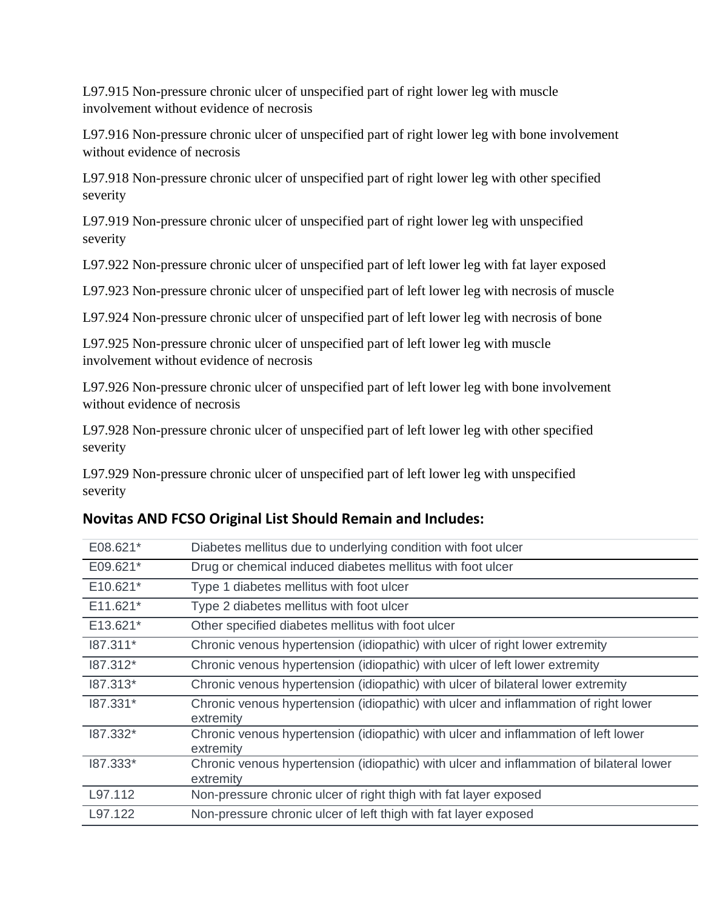L97.915 Non-pressure chronic ulcer of unspecified part of right lower leg with muscle involvement without evidence of necrosis

L97.916 Non-pressure chronic ulcer of unspecified part of right lower leg with bone involvement without evidence of necrosis

L97.918 Non-pressure chronic ulcer of unspecified part of right lower leg with other specified severity

L97.919 Non-pressure chronic ulcer of unspecified part of right lower leg with unspecified severity

L97.922 Non-pressure chronic ulcer of unspecified part of left lower leg with fat layer exposed

L97.923 Non-pressure chronic ulcer of unspecified part of left lower leg with necrosis of muscle

L97.924 Non-pressure chronic ulcer of unspecified part of left lower leg with necrosis of bone

L97.925 Non-pressure chronic ulcer of unspecified part of left lower leg with muscle involvement without evidence of necrosis

L97.926 Non-pressure chronic ulcer of unspecified part of left lower leg with bone involvement without evidence of necrosis

L97.928 Non-pressure chronic ulcer of unspecified part of left lower leg with other specified severity

L97.929 Non-pressure chronic ulcer of unspecified part of left lower leg with unspecified severity

| E08.621*   | Diabetes mellitus due to underlying condition with foot ulcer                                        |
|------------|------------------------------------------------------------------------------------------------------|
| E09.621*   | Drug or chemical induced diabetes mellitus with foot ulcer                                           |
| $E10.621*$ | Type 1 diabetes mellitus with foot ulcer                                                             |
| E11.621*   | Type 2 diabetes mellitus with foot ulcer                                                             |
| E13.621*   | Other specified diabetes mellitus with foot ulcer                                                    |
| 187.311*   | Chronic venous hypertension (idiopathic) with ulcer of right lower extremity                         |
| 187.312*   | Chronic venous hypertension (idiopathic) with ulcer of left lower extremity                          |
| 187.313*   | Chronic venous hypertension (idiopathic) with ulcer of bilateral lower extremity                     |
| 187.331*   | Chronic venous hypertension (idiopathic) with ulcer and inflammation of right lower<br>extremity     |
| 187.332*   | Chronic venous hypertension (idiopathic) with ulcer and inflammation of left lower<br>extremity      |
| 187.333*   | Chronic venous hypertension (idiopathic) with ulcer and inflammation of bilateral lower<br>extremity |
| L97.112    | Non-pressure chronic ulcer of right thigh with fat layer exposed                                     |
| L97.122    | Non-pressure chronic ulcer of left thigh with fat layer exposed                                      |

## **Novitas AND FCSO Original List Should Remain and Includes:**